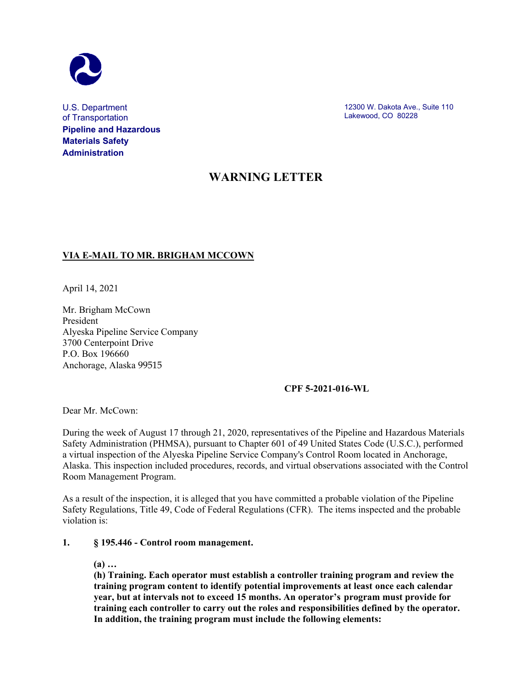

U.S. Department of Transportation **Pipeline and Hazardous Materials Safety Administration**

12300 W. Dakota Ave., Suite 110 Lakewood, CO 80228

## **WARNING LETTER**

### **VIA E-MAIL TO MR. BRIGHAM MCCOWN**

April 14, 2021

Mr. Brigham McCown President Alyeska Pipeline Service Company 3700 Centerpoint Drive P.O. Box 196660 Anchorage, Alaska 99515

#### **CPF 5-2021-016-WL**

Dear Mr. McCown:

During the week of August 17 through 21, 2020, representatives of the Pipeline and Hazardous Materials Safety Administration (PHMSA), pursuant to Chapter 601 of 49 United States Code (U.S.C.), performed a virtual inspection of the Alyeska Pipeline Service Company's Control Room located in Anchorage, Alaska. This inspection included procedures, records, and virtual observations associated with the Control Room Management Program.

As a result of the inspection, it is alleged that you have committed a probable violation of the Pipeline Safety Regulations, Title 49, Code of Federal Regulations (CFR). The items inspected and the probable violation is:

#### **1. § 195.446 - Control room management.**

**(a) …**

**(h) Training. Each operator must establish a controller training program and review the training program content to identify potential improvements at least once each calendar year, but at intervals not to exceed 15 months. An operator's program must provide for training each controller to carry out the roles and responsibilities defined by the operator. In addition, the training program must include the following elements:**